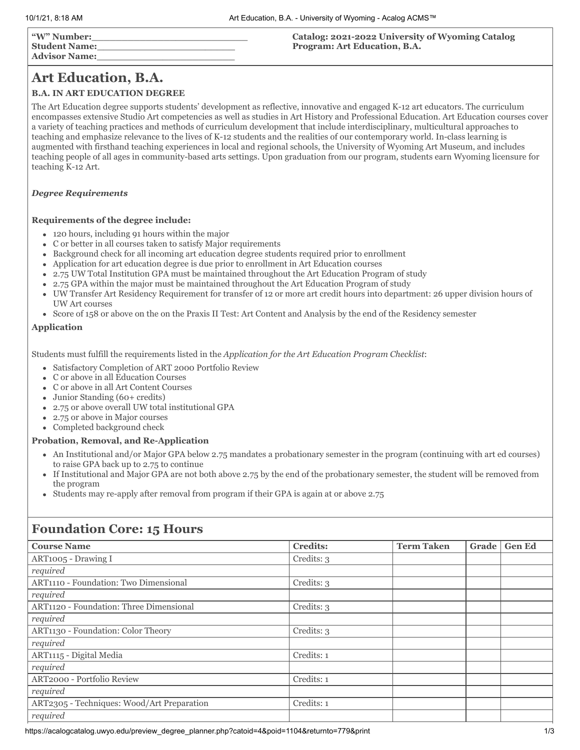| "W" Number:   | Catalog: 2021-2022 University of Wyoming Catalog |
|---------------|--------------------------------------------------|
| Student Name: | Program: Art Education, B.A.                     |
| Advisor Name: |                                                  |

# **Art Education, B.A.**

## **B.A. IN ART EDUCATION DEGREE**

The Art Education degree supports students' development as reflective, innovative and engaged K-12 art educators. The curriculum encompasses extensive Studio Art competencies as well as studies in Art History and Professional Education. Art Education courses cover a variety of teaching practices and methods of curriculum development that include interdisciplinary, multicultural approaches to teaching and emphasize relevance to the lives of K-12 students and the realities of our contemporary world. In-class learning is augmented with firsthand teaching experiences in local and regional schools, the University of Wyoming Art Museum, and includes teaching people of all ages in community-based arts settings. Upon graduation from our program, students earn Wyoming licensure for teaching K-12 Art.

#### *Degree Requirements*

#### **Requirements of the degree include:**

- 120 hours, including 91 hours within the major
- C or better in all courses taken to satisfy Major requirements  $\bullet$
- Background check for all incoming art education degree students required prior to enrollment  $\bullet$
- Application for art education degree is due prior to enrollment in Art Education courses  $\bullet$
- 2.75 UW Total Institution GPA must be maintained throughout the Art Education Program of study
- 2.75 GPA within the major must be maintained throughout the Art Education Program of study
- UW Transfer Art Residency Requirement for transfer of 12 or more art credit hours into department: 26 upper division hours of UW Art courses
- Score of 158 or above on the on the Praxis II Test: Art Content and Analysis by the end of the Residency semester

#### **Application**

Students must fulfill the requirements listed in the *Application for the Art Education Program Checklist*:

- Satisfactory Completion of ART 2000 Portfolio Review
- C or above in all Education Courses
- C or above in all Art Content Courses
- Junior Standing (60+ credits)
- 2.75 or above overall UW total institutional GPA
- 2.75 or above in Major courses
- Completed background check

## **Probation, Removal, and Re-Application**

- An Institutional and/or Major GPA below 2.75 mandates a probationary semester in the program (continuing with art ed courses) to raise GPA back up to 2.75 to continue
- If Institutional and Major GPA are not both above 2.75 by the end of the probationary semester, the student will be removed from the program
- Students may re-apply after removal from program if their GPA is again at or above 2.75

# **Foundation Core: 15 Hours**

| <b>Course Name</b>                         | <b>Credits:</b> | <b>Term Taken</b> | Grade | <b>Gen Ed</b> |
|--------------------------------------------|-----------------|-------------------|-------|---------------|
| ART1005 - Drawing I                        | Credits: 3      |                   |       |               |
| required                                   |                 |                   |       |               |
| ART1110 - Foundation: Two Dimensional      | Credits: 3      |                   |       |               |
| required                                   |                 |                   |       |               |
| ART1120 - Foundation: Three Dimensional    | Credits: 3      |                   |       |               |
| required                                   |                 |                   |       |               |
| ART1130 - Foundation: Color Theory         | Credits: 3      |                   |       |               |
| required                                   |                 |                   |       |               |
| ART1115 - Digital Media                    | Credits: 1      |                   |       |               |
| required                                   |                 |                   |       |               |
| ART2000 - Portfolio Review                 | Credits: 1      |                   |       |               |
| required                                   |                 |                   |       |               |
| ART2305 - Techniques: Wood/Art Preparation | Credits: 1      |                   |       |               |
| required                                   |                 |                   |       |               |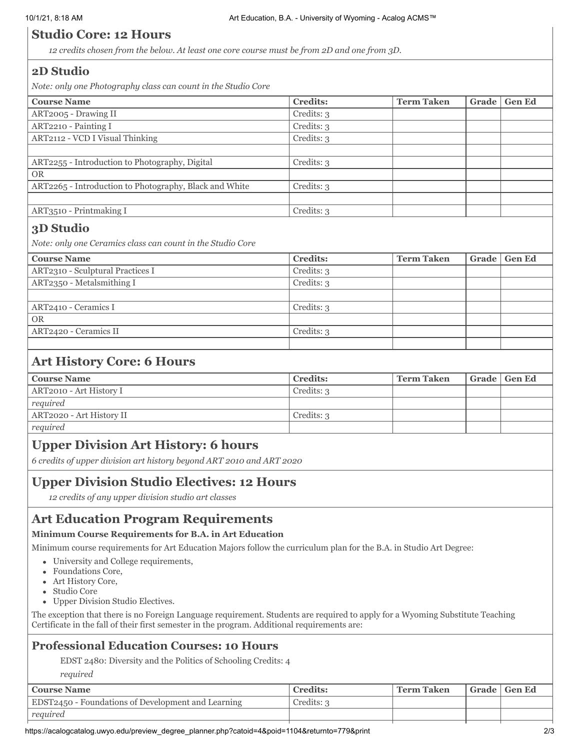# **Studio Core: 12 Hours**

*12 credits chosen from the below. At least one core course must be from 2D and one from 3D.*

## **2D Studio**

*Note: only one Photography class can count in the Studio Core*

| <b>Course Name</b>                                     | <b>Credits:</b> | <b>Term Taken</b> | Grade | <b>Gen Ed</b> |
|--------------------------------------------------------|-----------------|-------------------|-------|---------------|
| ART2005 - Drawing II                                   | Credits: 3      |                   |       |               |
| ART2210 - Painting I                                   | Credits: 3      |                   |       |               |
| ART2112 - VCD I Visual Thinking                        | Credits: 3      |                   |       |               |
|                                                        |                 |                   |       |               |
| ART2255 - Introduction to Photography, Digital         | Credits: 3      |                   |       |               |
| <b>OR</b>                                              |                 |                   |       |               |
| ART2265 - Introduction to Photography, Black and White | Credits: 3      |                   |       |               |
|                                                        |                 |                   |       |               |
| ART3510 - Printmaking I                                | Credits: 3      |                   |       |               |

## **3D Studio**

*Note: only one Ceramics class can count in the Studio Core*

| <b>Course Name</b>               | <b>Credits:</b> | <b>Term Taken</b> | Grade Gen Ed |
|----------------------------------|-----------------|-------------------|--------------|
| ART2310 - Sculptural Practices I | Credits: 3      |                   |              |
| ART2350 - Metalsmithing I        | Credits: 3      |                   |              |
|                                  |                 |                   |              |
| ART2410 - Ceramics I             | Credits: 3      |                   |              |
| <b>OR</b>                        |                 |                   |              |
| ART2420 - Ceramics II            | Credits: 3      |                   |              |
|                                  |                 |                   |              |

# **Art History Core: 6 Hours**

| <b>Course Name</b>       | <b>Credits:</b> | <b>Term Taken</b> | Grade   Gen Ed |
|--------------------------|-----------------|-------------------|----------------|
| ART2010 - Art History I  | Credits: 3      |                   |                |
| required                 |                 |                   |                |
| ART2020 - Art History II | Credits: 3      |                   |                |
| required                 |                 |                   |                |

# **Upper Division Art History: 6 hours**

*6 credits of upper division art history beyond ART 2010 and ART 2020*

## **Upper Division Studio Electives: 12 Hours**

*12 credits of any upper division studio art classes*

# **Art Education Program Requirements**

## **Minimum Course Requirements for B.A. in Art Education**

Minimum course requirements for Art Education Majors follow the curriculum plan for the B.A. in Studio Art Degree:

- University and College requirements,
- Foundations Core,
- Art History Core,
- Studio Core
- Upper Division Studio Electives.

The exception that there is no Foreign Language requirement. Students are required to apply for a Wyoming Substitute Teaching Certificate in the fall of their first semester in the program. Additional requirements are:

## **Professional Education Courses: 10 Hours**

EDST 2480: Diversity and the Politics of Schooling Credits: 4

*required*

| <b>Course Name</b>                                 | <b>Credits:</b> | <b>Term Taken</b> | Grade   Gen Ed |
|----------------------------------------------------|-----------------|-------------------|----------------|
| EDST2450 - Foundations of Development and Learning | Credits: 3      |                   |                |
| required                                           |                 |                   |                |